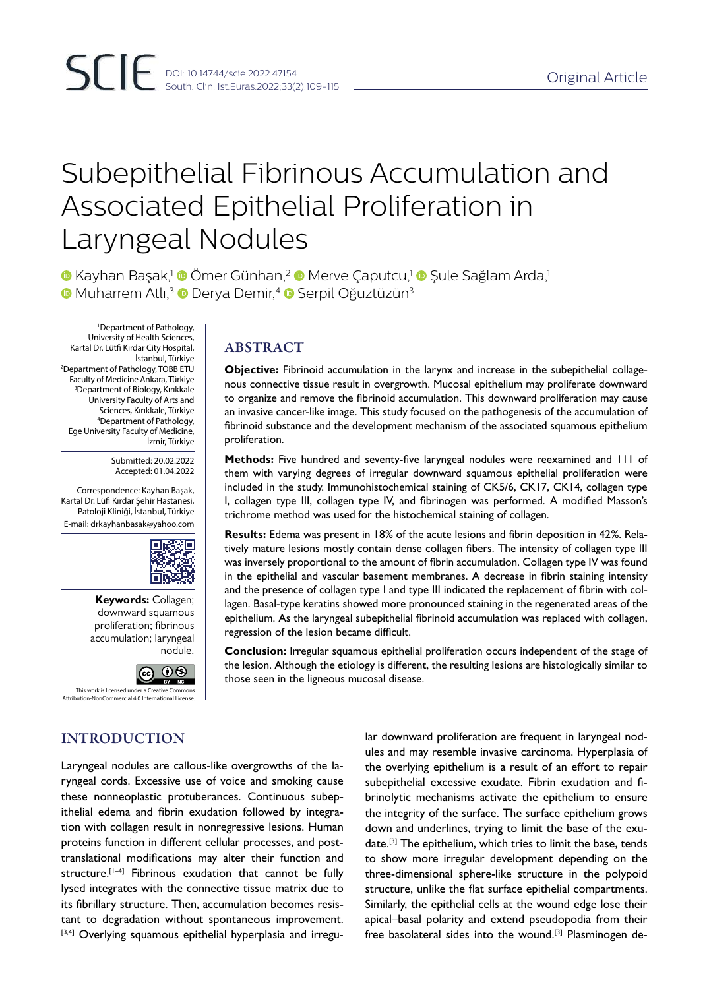# Subepithelial Fibrinous Accumulation and Associated Epithelial Proliferation in Laryngeal Nodules

 $\bullet$  **Kayhan Basak,<sup>1</sup>**  $\bullet$  **Ömer Günhan,<sup>2</sup>**  $\bullet$  **Merve Caputcu,<sup>1</sup>**  $\bullet$  **Sule Sağlam Arda,<sup>1</sup> ■ Muharrem Atlı,<sup>3</sup> ■ Derya Demir,<sup>4</sup> ■ Serpil Oğuztüzün<sup>3</sup>** 

1 Department of Pathology, University of Health Sciences, Kartal Dr. Lütfi Kırdar City Hospital, İstanbul, Türkiye 2 Department of Pathology, TOBB ETU Faculty of Medicine Ankara, Türkiye 3 Department of Biology, Kırıkkale University Faculty of Arts and Sciences, Kırıkkale, Türkiye 4 Department of Pathology, Ege University Faculty of Medicine, İzmir, Türkiye

> Submitted: 20.02.2022 Accepted: 01.04.2022

Correspondence: Kayhan Başak, Kartal Dr. Lüfi Kırdar Şehir Hastanesi, Patoloji Kliniği, İstanbul, Türkiye E-mail: drkayhanbasak@yahoo.com



**Keywords:** Collagen; downward squamous proliferation; fibrinous accumulation; laryngeal nodule.



This work is licensed under a Creative Commons Attribution-NonCommercial 4.0 International License.

# ABSTRACT

**Objective:** Fibrinoid accumulation in the larynx and increase in the subepithelial collagenous connective tissue result in overgrowth. Mucosal epithelium may proliferate downward to organize and remove the fibrinoid accumulation. This downward proliferation may cause an invasive cancer-like image. This study focused on the pathogenesis of the accumulation of fibrinoid substance and the development mechanism of the associated squamous epithelium proliferation.

**Methods:** Five hundred and seventy-five laryngeal nodules were reexamined and 111 of them with varying degrees of irregular downward squamous epithelial proliferation were included in the study. Immunohistochemical staining of CK5/6, CK17, CK14, collagen type I, collagen type III, collagen type IV, and fibrinogen was performed. A modified Masson's trichrome method was used for the histochemical staining of collagen.

**Results:** Edema was present in 18% of the acute lesions and fibrin deposition in 42%. Relatively mature lesions mostly contain dense collagen fibers. The intensity of collagen type III was inversely proportional to the amount of fibrin accumulation. Collagen type IV was found in the epithelial and vascular basement membranes. A decrease in fibrin staining intensity and the presence of collagen type I and type III indicated the replacement of fibrin with collagen. Basal-type keratins showed more pronounced staining in the regenerated areas of the epithelium. As the laryngeal subepithelial fibrinoid accumulation was replaced with collagen, regression of the lesion became difficult.

**Conclusion:** Irregular squamous epithelial proliferation occurs independent of the stage of the lesion. Although the etiology is different, the resulting lesions are histologically similar to those seen in the ligneous mucosal disease.

INTRODUCTION

Laryngeal nodules are callous-like overgrowths of the laryngeal cords. Excessive use of voice and smoking cause these nonneoplastic protuberances. Continuous subepithelial edema and fibrin exudation followed by integration with collagen result in nonregressive lesions. Human proteins function in different cellular processes, and posttranslational modifications may alter their function and structure.<sup>[1-4]</sup> Fibrinous exudation that cannot be fully lysed integrates with the connective tissue matrix due to its fibrillary structure. Then, accumulation becomes resistant to degradation without spontaneous improvement. [3,4] Overlying squamous epithelial hyperplasia and irregu-

lar downward proliferation are frequent in laryngeal nodules and may resemble invasive carcinoma. Hyperplasia of the overlying epithelium is a result of an effort to repair subepithelial excessive exudate. Fibrin exudation and fibrinolytic mechanisms activate the epithelium to ensure the integrity of the surface. The surface epithelium grows down and underlines, trying to limit the base of the exudate.[3] The epithelium, which tries to limit the base, tends to show more irregular development depending on the three-dimensional sphere-like structure in the polypoid structure, unlike the flat surface epithelial compartments. Similarly, the epithelial cells at the wound edge lose their apical–basal polarity and extend pseudopodia from their free basolateral sides into the wound.[3] Plasminogen de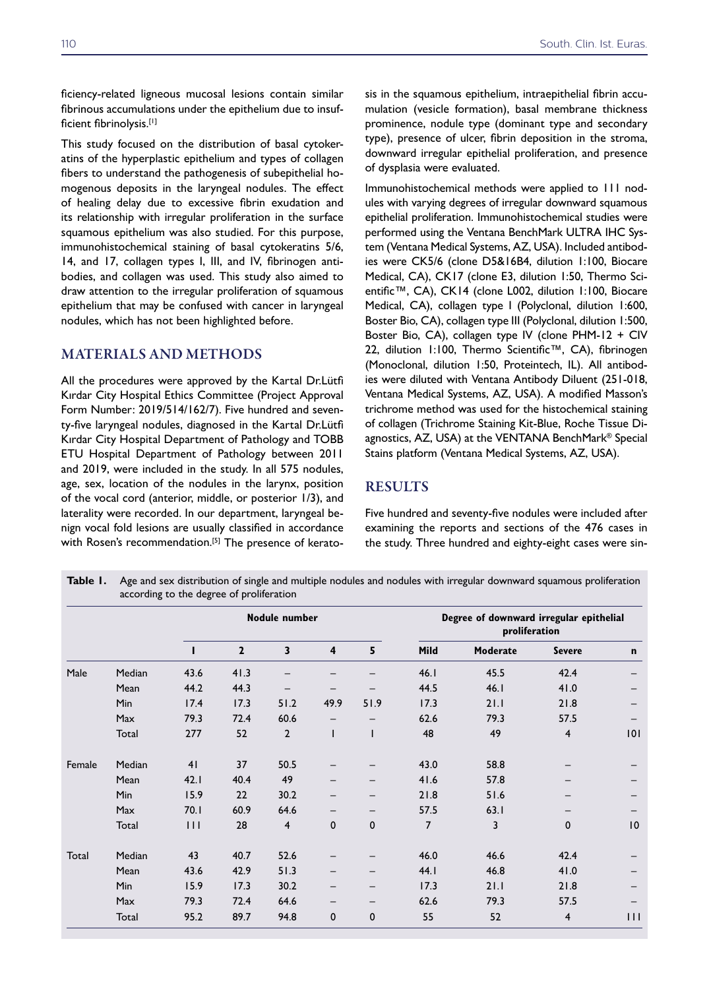ficiency-related ligneous mucosal lesions contain similar fibrinous accumulations under the epithelium due to insufficient fibrinolysis.[1]

This study focused on the distribution of basal cytokeratins of the hyperplastic epithelium and types of collagen fibers to understand the pathogenesis of subepithelial homogenous deposits in the laryngeal nodules. The effect of healing delay due to excessive fibrin exudation and its relationship with irregular proliferation in the surface squamous epithelium was also studied. For this purpose, immunohistochemical staining of basal cytokeratins 5/6, 14, and 17, collagen types I, III, and IV, fibrinogen antibodies, and collagen was used. This study also aimed to draw attention to the irregular proliferation of squamous epithelium that may be confused with cancer in laryngeal nodules, which has not been highlighted before.

#### MATERIALS AND METHODS

All the procedures were approved by the Kartal Dr.Lütfi Kırdar City Hospital Ethics Committee (Project Approval Form Number: 2019/514/162/7). Five hundred and seventy-five laryngeal nodules, diagnosed in the Kartal Dr.Lütfi Kırdar City Hospital Department of Pathology and TOBB ETU Hospital Department of Pathology between 2011 and 2019, were included in the study. In all 575 nodules, age, sex, location of the nodules in the larynx, position of the vocal cord (anterior, middle, or posterior 1/3), and laterality were recorded. In our department, laryngeal benign vocal fold lesions are usually classified in accordance with Rosen's recommendation.<sup>[5]</sup> The presence of kerato-

sis in the squamous epithelium, intraepithelial fibrin accumulation (vesicle formation), basal membrane thickness prominence, nodule type (dominant type and secondary type), presence of ulcer, fibrin deposition in the stroma, downward irregular epithelial proliferation, and presence of dysplasia were evaluated.

Immunohistochemical methods were applied to 111 nodules with varying degrees of irregular downward squamous epithelial proliferation. Immunohistochemical studies were performed using the Ventana BenchMark ULTRA IHC System (Ventana Medical Systems, AZ, USA). Included antibodies were CK5/6 (clone D5&16B4, dilution 1:100, Biocare Medical, CA), CK17 (clone E3, dilution 1:50, Thermo Scientific™, CA), CK14 (clone L002, dilution 1:100, Biocare Medical, CA), collagen type I (Polyclonal, dilution 1:600, Boster Bio, CA), collagen type III (Polyclonal, dilution 1:500, Boster Bio, CA), collagen type IV (clone PHM-12 + CIV 22, dilution 1:100, Thermo Scientific™, CA), fibrinogen (Monoclonal, dilution 1:50, Proteintech, IL). All antibodies were diluted with Ventana Antibody Diluent (251-018, Ventana Medical Systems, AZ, USA). A modified Masson's trichrome method was used for the histochemical staining of collagen (Trichrome Staining Kit-Blue, Roche Tissue Diagnostics, AZ, USA) at the VENTANA BenchMark® Special Stains platform (Ventana Medical Systems, AZ, USA).

### RESULTS

Five hundred and seventy-five nodules were included after examining the reports and sections of the 476 cases in the study. Three hundred and eighty-eight cases were sin-

**Nodule number Degree of downward irregular epithelial proliferation 1 2 3 4 5 Mild Moderate Severe n** Male Median 43.6 41.3 – – – 46.1 45.5 42.4 – Mean 44.2 44.3 – – – 44.5 46.1 41.0 – Min 17.4 17.3 51.2 49.9 51.9 17.3 21.1 21.8 – Max 79.3 72.4 60.6 – – 62.6 79.3 57.5 – Total 277 52 2 1 1 48 49 4 101 Female Median 41 37 50.5 – – 43.0 58.8 – – Mean 42.1 40.4 49 – – 41.6 57.8 – – Min 15.9 22 30.2 – – 21.8 51.6 – – Max 70.1 60.9 64.6 – – 57.5 63.1 – – Total 111 28 4 0 0 7 3 0 10 Total Median 43 40.7 52.6 – – 46.0 46.6 42.4 – Mean 43.6 42.9 51.3 – – 44.1 46.8 41.0 – Min 15.9 17.3 30.2 – – 17.3 21.1 21.8 – Max 79.3 72.4 64.6 – – 62.6 79.3 57.5 – Total 95.2 89.7 94.8 0 0 55 52 4 111

**Table 1.** Age and sex distribution of single and multiple nodules and nodules with irregular downward squamous proliferation according to the degree of proliferation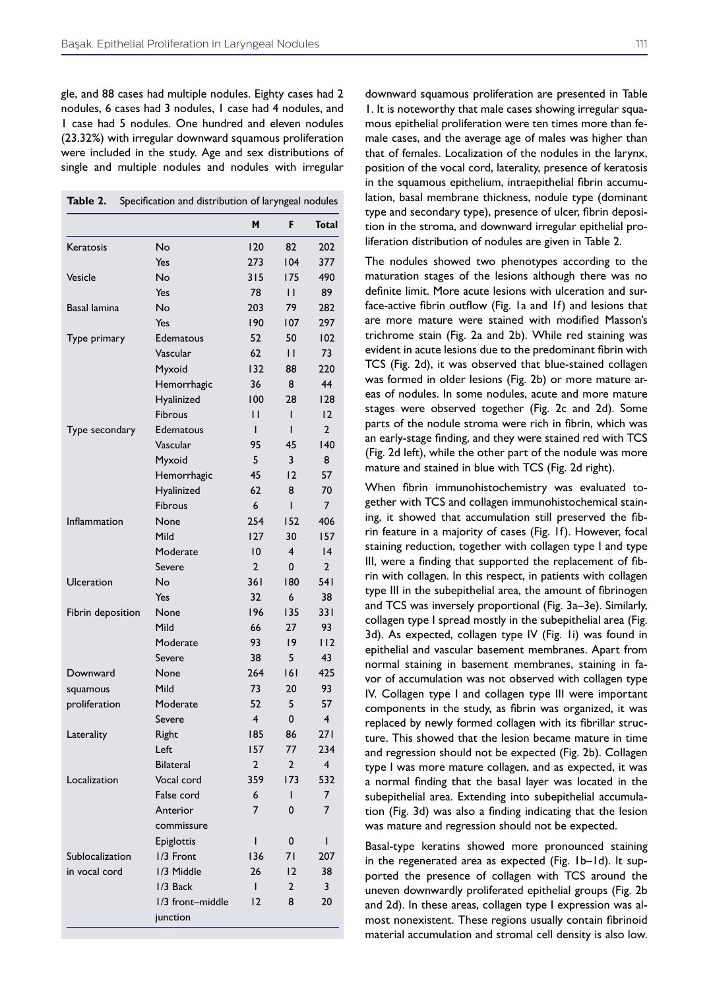gle, and 88 cases had multiple nodules. Eighty cases had 2 nodules, 6 cases had 3 nodules, 1 case had 4 nodules, and 1 case had 5 nodules. One hundred and eleven nodules (23.32%) with irregular downward squamous proliferation were included in the study. Age and sex distributions of single and multiple nodules and nodules with irregular

|                   |                  | M              | F              | <b>Total</b>   |
|-------------------|------------------|----------------|----------------|----------------|
| Keratosis         | No               | 120            | 82             | 202            |
|                   | Yes              | 273            | 104            | 377            |
| Vesicle           | No               | 315            | 175            | 490            |
|                   | Yes              | 78             | $\mathsf{H}$   | 89             |
| Basal lamina      | No               | 203            | 79             | 282            |
|                   | Yes              | 190            | 107            | 297            |
| Type primary      | Edematous        | 52             | 50             | 102            |
|                   | Vascular         | 62             | П              | 73             |
|                   | Myxoid           | 132            | 88             | 220            |
|                   | Hemorrhagic      | 36             | 8              | 44             |
|                   | Hyalinized       | 100            | 28             | 128            |
|                   | Fibrous          | П              | ı              | 12             |
| Type secondary    | Edematous        | ı              | ı              | $\overline{2}$ |
|                   | Vascular         | 95             | 45             | 140            |
|                   | Myxoid           | 5              | 3              | 8              |
|                   | Hemorrhagic      | 45             | 12             | 57             |
|                   | Hyalinized       | 62             | 8              | 70             |
|                   | Fibrous          | 6              | I              | $\overline{7}$ |
| Inflammation      | None             | 254            | 152            | 406            |
|                   | Mild             | 127            | 30             | 157            |
|                   | Moderate         | 10             | 4              | 4              |
|                   | Severe           | $\overline{2}$ | 0              | $\mathbf{2}$   |
| Ulceration        | No               | 36 I           | 180            | 541            |
|                   | Yes              | 32             | 6              | 38             |
| Fibrin deposition | None             | 196            | 135            | 331            |
|                   | Mild             | 66             | 27             | 93             |
|                   | Moderate         | 93             | 19             | 112            |
|                   | Severe           | 38             | 5              | 43             |
| Downward          | None             | 264            | 6              | 425            |
| squamous          | Mild             | 73             | 20             | 93             |
| proliferation     | Moderate         | 52             | 5              | 57             |
|                   | Severe           | $\overline{4}$ | 0              | $\overline{4}$ |
| Laterality        | Right            | 185            | 86             | 271            |
|                   | Left             | 157            | 77             | 234            |
|                   | Bilateral        | $\mathbf 2$    | $\mathbf 2$    | $\overline{4}$ |
| Localization      | Vocal cord       | 359            | 173            | 532            |
|                   | False cord       | 6              | I              | 7              |
|                   | Anterior         | 7              | 0              | $\overline{7}$ |
|                   | commissure       |                |                |                |
|                   | Epiglottis       | ı              | 0              | L              |
| Sublocalization   | 1/3 Front        | 136            | 71             | 207            |
| in vocal cord     | 1/3 Middle       | 26             | 12             | 38             |
|                   | 1/3 Back         | L              | $\overline{2}$ | 3              |
|                   | 1/3 front-middle | $ 2\rangle$    | 8              | 20             |
|                   | junction         |                |                |                |

downward squamous proliferation are presented in Table 1. It is noteworthy that male cases showing irregular squamous epithelial proliferation were ten times more than female cases, and the average age of males was higher than that of females. Localization of the nodules in the larynx, position of the vocal cord, laterality, presence of keratosis in the squamous epithelium, intraepithelial fibrin accumulation, basal membrane thickness, nodule type (dominant type and secondary type), presence of ulcer, fibrin deposition in the stroma, and downward irregular epithelial proliferation distribution of nodules are given in Table 2.

The nodules showed two phenotypes according to the maturation stages of the lesions although there was no definite limit. More acute lesions with ulceration and surface-active fibrin outflow (Fig. 1a and 1f) and lesions that are more mature were stained with modified Masson's trichrome stain (Fig. 2a and 2b). While red staining was evident in acute lesions due to the predominant fibrin with TCS (Fig. 2d), it was observed that blue-stained collagen was formed in older lesions (Fig. 2b) or more mature areas of nodules. In some nodules, acute and more mature stages were observed together (Fig. 2c and 2d). Some parts of the nodule stroma were rich in fibrin, which was an early-stage finding, and they were stained red with TCS (Fig. 2d left), while the other part of the nodule was more mature and stained in blue with TCS (Fig. 2d right).

When fibrin immunohistochemistry was evaluated together with TCS and collagen immunohistochemical staining, it showed that accumulation still preserved the fibrin feature in a majority of cases (Fig. 1f). However, focal staining reduction, together with collagen type I and type III, were a finding that supported the replacement of fibrin with collagen. In this respect, in patients with collagen type III in the subepithelial area, the amount of fibrinogen and TCS was inversely proportional (Fig. 3a–3e). Similarly, collagen type I spread mostly in the subepithelial area (Fig. 3d). As expected, collagen type IV (Fig. 1i) was found in epithelial and vascular basement membranes. Apart from normal staining in basement membranes, staining in favor of accumulation was not observed with collagen type IV. Collagen type I and collagen type III were important components in the study, as fibrin was organized, it was replaced by newly formed collagen with its fibrillar structure. This showed that the lesion became mature in time and regression should not be expected (Fig. 2b). Collagen type I was more mature collagen, and as expected, it was a normal finding that the basal layer was located in the subepithelial area. Extending into subepithelial accumulation (Fig. 3d) was also a finding indicating that the lesion was mature and regression should not be expected.

Basal-type keratins showed more pronounced staining in the regenerated area as expected (Fig. 1b–1d). It supported the presence of collagen with TCS around the uneven downwardly proliferated epithelial groups (Fig. 2b and 2d). In these areas, collagen type I expression was almost nonexistent. These regions usually contain fibrinoid material accumulation and stromal cell density is also low.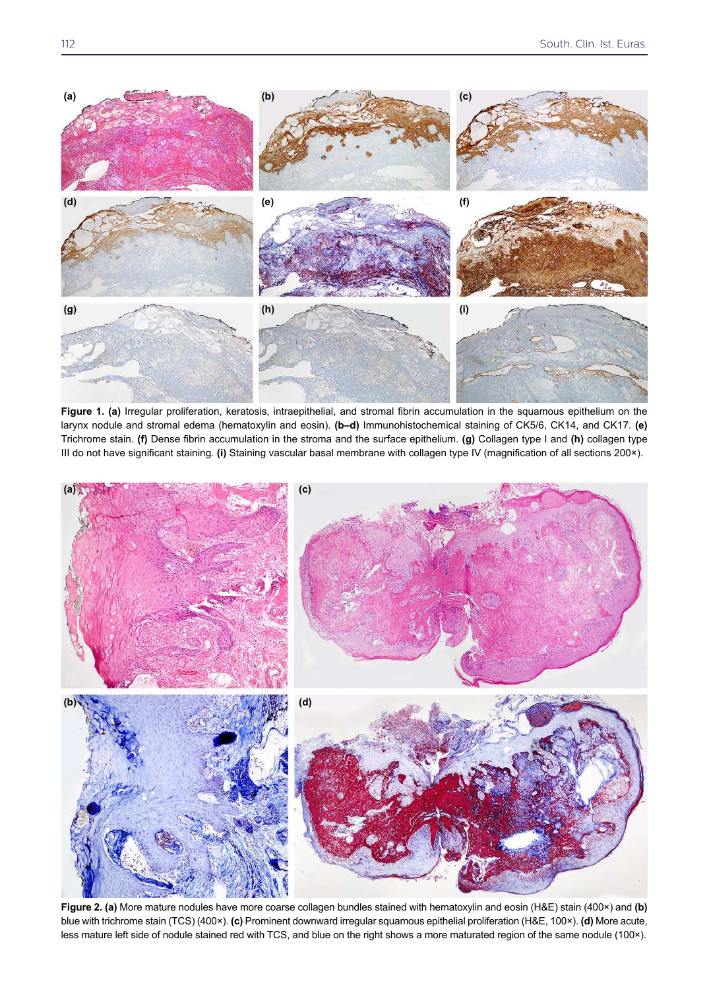

**Figure 1. (a)** Irregular proliferation, keratosis, intraepithelial, and stromal fibrin accumulation in the squamous epithelium on the larynx nodule and stromal edema (hematoxylin and eosin). **(b–d)** Immunohistochemical staining of CK5/6, CK14, and CK17. **(e)** Trichrome stain. **(f)** Dense fibrin accumulation in the stroma and the surface epithelium. **(g)** Collagen type I and **(h)** collagen type III do not have significant staining. **(i)** Staining vascular basal membrane with collagen type IV (magnification of all sections 200×).



**Figure 2. (a)** More mature nodules have more coarse collagen bundles stained with hematoxylin and eosin (H&E) stain (400×) and **(b)** blue with trichrome stain (TCS) (400×). **(c)** Prominent downward irregular squamous epithelial proliferation (H&E, 100×). **(d)** More acute, less mature left side of nodule stained red with TCS, and blue on the right shows a more maturated region of the same nodule (100×).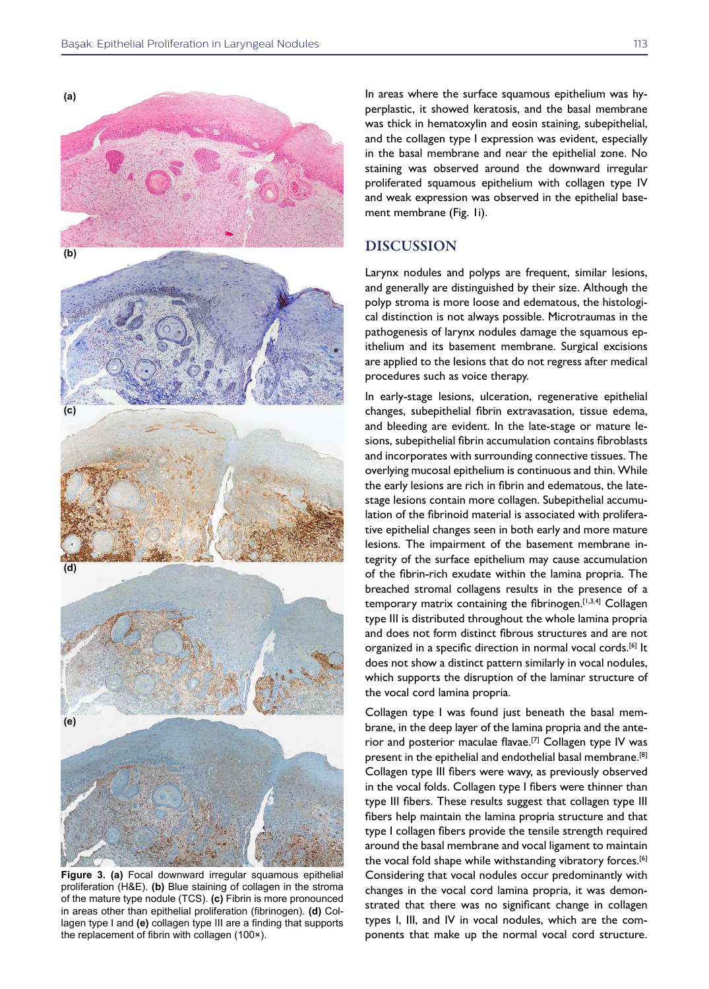

**Figure 3. (a)** Focal downward irregular squamous epithelial proliferation (H&E). **(b)** Blue staining of collagen in the stroma of the mature type nodule (TCS). **(c)** Fibrin is more pronounced in areas other than epithelial proliferation (fibrinogen). **(d)** Collagen type I and **(e)** collagen type III are a finding that supports the replacement of fibrin with collagen (100×).

In areas where the surface squamous epithelium was hyperplastic, it showed keratosis, and the basal membrane was thick in hematoxylin and eosin staining, subepithelial, and the collagen type I expression was evident, especially in the basal membrane and near the epithelial zone. No staining was observed around the downward irregular proliferated squamous epithelium with collagen type IV and weak expression was observed in the epithelial basement membrane (Fig. 1i).

#### DISCUSSION

Larynx nodules and polyps are frequent, similar lesions, and generally are distinguished by their size. Although the polyp stroma is more loose and edematous, the histological distinction is not always possible. Microtraumas in the pathogenesis of larynx nodules damage the squamous epithelium and its basement membrane. Surgical excisions are applied to the lesions that do not regress after medical procedures such as voice therapy.

In early-stage lesions, ulceration, regenerative epithelial changes, subepithelial fibrin extravasation, tissue edema, and bleeding are evident. In the late-stage or mature lesions, subepithelial fibrin accumulation contains fibroblasts and incorporates with surrounding connective tissues. The overlying mucosal epithelium is continuous and thin. While the early lesions are rich in fibrin and edematous, the latestage lesions contain more collagen. Subepithelial accumulation of the fibrinoid material is associated with proliferative epithelial changes seen in both early and more mature lesions. The impairment of the basement membrane integrity of the surface epithelium may cause accumulation of the fibrin-rich exudate within the lamina propria. The breached stromal collagens results in the presence of a temporary matrix containing the fibrinogen.[1,3,4] Collagen type III is distributed throughout the whole lamina propria and does not form distinct fibrous structures and are not organized in a specific direction in normal vocal cords.<sup>[6]</sup> It does not show a distinct pattern similarly in vocal nodules, which supports the disruption of the laminar structure of the vocal cord lamina propria.

Collagen type I was found just beneath the basal membrane, in the deep layer of the lamina propria and the anterior and posterior maculae flavae.[7] Collagen type IV was present in the epithelial and endothelial basal membrane.[8] Collagen type III fibers were wavy, as previously observed in the vocal folds. Collagen type I fibers were thinner than type III fibers. These results suggest that collagen type III fibers help maintain the lamina propria structure and that type I collagen fibers provide the tensile strength required around the basal membrane and vocal ligament to maintain the vocal fold shape while withstanding vibratory forces.<sup>[6]</sup> Considering that vocal nodules occur predominantly with changes in the vocal cord lamina propria, it was demonstrated that there was no significant change in collagen types I, III, and IV in vocal nodules, which are the components that make up the normal vocal cord structure.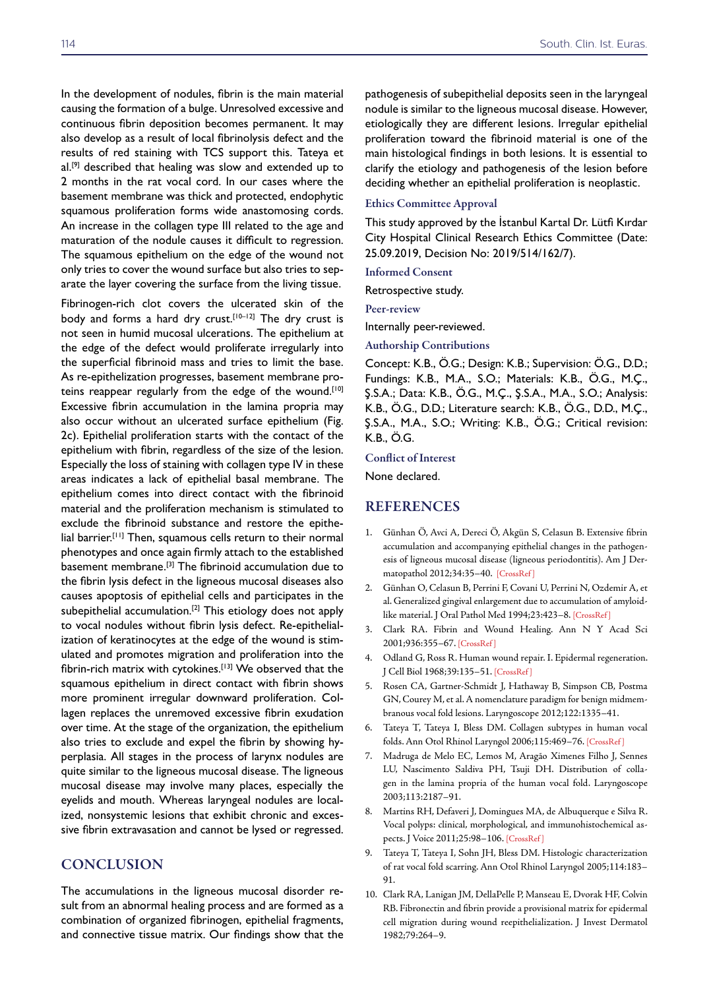In the development of nodules, fibrin is the main material causing the formation of a bulge. Unresolved excessive and continuous fibrin deposition becomes permanent. It may also develop as a result of local fibrinolysis defect and the results of red staining with TCS support this. Tateya et al.<sup>[9]</sup> described that healing was slow and extended up to 2 months in the rat vocal cord. In our cases where the basement membrane was thick and protected, endophytic squamous proliferation forms wide anastomosing cords. An increase in the collagen type III related to the age and maturation of the nodule causes it difficult to regression. The squamous epithelium on the edge of the wound not only tries to cover the wound surface but also tries to separate the layer covering the surface from the living tissue.

Fibrinogen-rich clot covers the ulcerated skin of the body and forms a hard dry crust.[10-12] The dry crust is not seen in humid mucosal ulcerations. The epithelium at the edge of the defect would proliferate irregularly into the superficial fibrinoid mass and tries to limit the base. As re-epithelization progresses, basement membrane proteins reappear regularly from the edge of the wound.<sup>[10]</sup> Excessive fibrin accumulation in the lamina propria may also occur without an ulcerated surface epithelium (Fig. 2c). Epithelial proliferation starts with the contact of the epithelium with fibrin, regardless of the size of the lesion. Especially the loss of staining with collagen type IV in these areas indicates a lack of epithelial basal membrane. The epithelium comes into direct contact with the fibrinoid material and the proliferation mechanism is stimulated to exclude the fibrinoid substance and restore the epithelial barrier.[11] Then, squamous cells return to their normal phenotypes and once again firmly attach to the established basement membrane.[3] The fibrinoid accumulation due to the fibrin lysis defect in the ligneous mucosal diseases also causes apoptosis of epithelial cells and participates in the subepithelial accumulation.<sup>[2]</sup> This etiology does not apply to vocal nodules without fibrin lysis defect. Re-epithelialization of keratinocytes at the edge of the wound is stimulated and promotes migration and proliferation into the fibrin-rich matrix with cytokines.[13] We observed that the squamous epithelium in direct contact with fibrin shows more prominent irregular downward proliferation. Collagen replaces the unremoved excessive fibrin exudation over time. At the stage of the organization, the epithelium also tries to exclude and expel the fibrin by showing hyperplasia. All stages in the process of larynx nodules are quite similar to the ligneous mucosal disease. The ligneous mucosal disease may involve many places, especially the eyelids and mouth. Whereas laryngeal nodules are localized, nonsystemic lesions that exhibit chronic and excessive fibrin extravasation and cannot be lysed or regressed.

### **CONCLUSION**

The accumulations in the ligneous mucosal disorder result from an abnormal healing process and are formed as a combination of organized fibrinogen, epithelial fragments, and connective tissue matrix. Our findings show that the

pathogenesis of subepithelial deposits seen in the laryngeal nodule is similar to the ligneous mucosal disease. However, etiologically they are different lesions. Irregular epithelial proliferation toward the fibrinoid material is one of the main histological findings in both lesions. It is essential to clarify the etiology and pathogenesis of the lesion before deciding whether an epithelial proliferation is neoplastic.

#### Ethics Committee Approval

This study approved by the İstanbul Kartal Dr. Lütfi Kırdar City Hospital Clinical Research Ethics Committee (Date: 25.09.2019, Decision No: 2019/514/162/7).

Informed Consent

Retrospective study.

Peer-review

Internally peer-reviewed.

Authorship Contributions

Concept: K.B., Ö.G.; Design: K.B.; Supervision: Ö.G., D.D.; Fundings: K.B., M.A., S.O.; Materials: K.B., Ö.G., M.Ç., Ş.S.A.; Data: K.B., Ö.G., M.Ç., Ş.S.A., M.A., S.O.; Analysis: K.B., Ö.G., D.D.; Literature search: K.B., Ö.G., D.D., M.Ç., Ş.S.A., M.A., S.O.; Writing: K.B., Ö.G.; Critical revision: K.B., Ö.G.

#### Conflict of Interest

None declared.

#### REFERENCES

- 1. Günhan Ö, Avci A, Dereci Ö, Akgün S, Celasun B. Extensive fibrin accumulation and accompanying epithelial changes in the pathogenesis of ligneous mucosal disease (ligneous periodontitis). Am J Dermatopathol 2012;34:35–40. [\[CrossRef \]](https://doi.org/10.1097/DAD.0b013e3182169507)
- 2. Günhan O, Celasun B, Perrini F, Covani U, Perrini N, Ozdemir A, et al. Generalized gingival enlargement due to accumulation of amyloidlike material. J Oral Pathol Med 1994;23:423–[8. \[CrossRef \]](https://doi.org/10.1111/j.1600-0714.1994.tb00089.x)
- 3. Clark RA. Fibrin and Wound Healing. Ann N Y Acad Sci 2001;936:355–67[. \[CrossRef \]](https://doi.org/10.1111/j.1749-6632.2001.tb03522.x)
- 4. Odland G, Ross R. Human wound repair. I. Epidermal regeneration. J Cell Biol 1968;39:135–5[1. \[CrossRef \]](https://doi.org/10.1083/jcb.39.1.135)
- 5. Rosen CA, Gartner-Schmidt J, Hathaway B, Simpson CB, Postma GN, Courey M, et al. A nomenclature paradigm for benign midmembranous vocal fold lesions. Laryngoscope 2012;122:1335–41.
- 6. Tateya T, Tateya I, Bless DM. Collagen subtypes in human vocal folds. Ann Otol Rhinol Laryngol 2006;115:469–76[. \[CrossRef \]](https://doi.org/10.1177/000348940611500612)
- 7. Madruga de Melo EC, Lemos M, Aragão Ximenes Filho J, Sennes LU, Nascimento Saldiva PH, Tsuji DH. Distribution of collagen in the lamina propria of the human vocal fold. Laryngoscope 2003;113:2187–91.
- 8. Martins RH, Defaveri J, Domingues MA, de Albuquerque e Silva R. Vocal polyps: clinical, morphological, and immunohistochemical aspects. J Voice 2011;25:98–10[6. \[CrossRef \]](https://doi.org/10.1016/j.jvoice.2009.05.002)
- 9. Tateya T, Tateya I, Sohn JH, Bless DM. Histologic characterization of rat vocal fold scarring. Ann Otol Rhinol Laryngol 2005;114:183– 91.
- 10. Clark RA, Lanigan JM, DellaPelle P, Manseau E, Dvorak HF, Colvin RB. Fibronectin and fibrin provide a provisional matrix for epidermal cell migration during wound reepithelialization. J Invest Dermatol 1[982;79:264–9.](https://doi.org/10.1111/1523-1747.ep12500075)